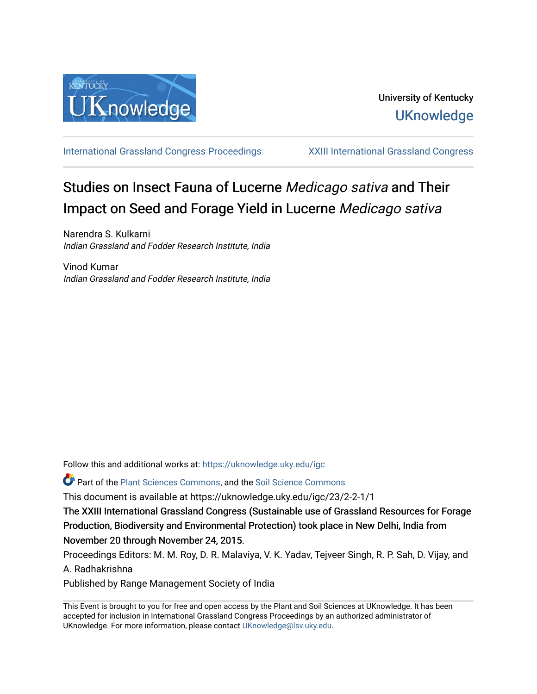

[International Grassland Congress Proceedings](https://uknowledge.uky.edu/igc) [XXIII International Grassland Congress](https://uknowledge.uky.edu/igc/23) 

# Studies on Insect Fauna of Lucerne Medicago sativa and Their Impact on Seed and Forage Yield in Lucerne Medicago sativa

Narendra S. Kulkarni Indian Grassland and Fodder Research Institute, India

Vinod Kumar Indian Grassland and Fodder Research Institute, India

Follow this and additional works at: [https://uknowledge.uky.edu/igc](https://uknowledge.uky.edu/igc?utm_source=uknowledge.uky.edu%2Figc%2F23%2F2-2-1%2F1&utm_medium=PDF&utm_campaign=PDFCoverPages) 

Part of the [Plant Sciences Commons](http://network.bepress.com/hgg/discipline/102?utm_source=uknowledge.uky.edu%2Figc%2F23%2F2-2-1%2F1&utm_medium=PDF&utm_campaign=PDFCoverPages), and the [Soil Science Commons](http://network.bepress.com/hgg/discipline/163?utm_source=uknowledge.uky.edu%2Figc%2F23%2F2-2-1%2F1&utm_medium=PDF&utm_campaign=PDFCoverPages) 

This document is available at https://uknowledge.uky.edu/igc/23/2-2-1/1

The XXIII International Grassland Congress (Sustainable use of Grassland Resources for Forage Production, Biodiversity and Environmental Protection) took place in New Delhi, India from November 20 through November 24, 2015.

Proceedings Editors: M. M. Roy, D. R. Malaviya, V. K. Yadav, Tejveer Singh, R. P. Sah, D. Vijay, and A. Radhakrishna

Published by Range Management Society of India

This Event is brought to you for free and open access by the Plant and Soil Sciences at UKnowledge. It has been accepted for inclusion in International Grassland Congress Proceedings by an authorized administrator of UKnowledge. For more information, please contact [UKnowledge@lsv.uky.edu](mailto:UKnowledge@lsv.uky.edu).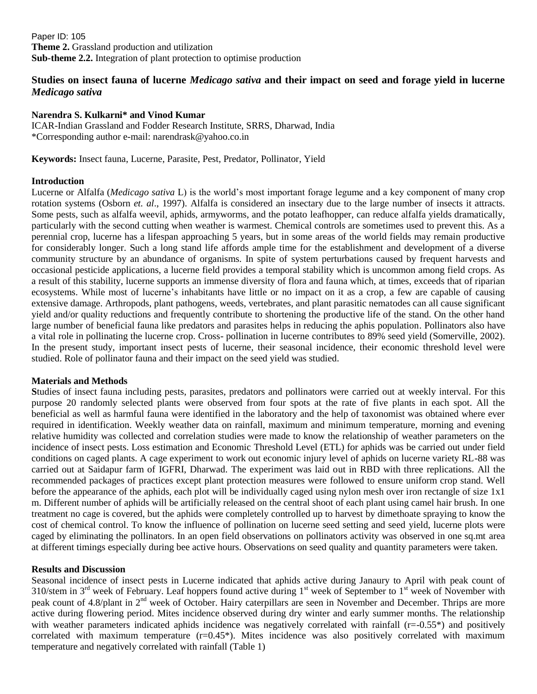Paper ID: 105 **Theme 2.** Grassland production and utilization **Sub-theme 2.2.** Integration of plant protection to optimise production

## **Studies on insect fauna of lucerne** *Medicago sativa* **and their impact on seed and forage yield in lucerne**  *Medicago sativa*

### **Narendra S. Kulkarni\* and Vinod Kumar**

ICAR-Indian Grassland and Fodder Research Institute, SRRS, Dharwad, India \*Corresponding author e-mail: [narendrask@yahoo.co.in](mailto:narendrask@yahoo.co.in)

**Keywords:** Insect fauna, Lucerne, Parasite, Pest, Predator, Pollinator, Yield

#### **Introduction**

Lucerne or Alfalfa (*Medicago sativa* L) is the world's most important forage legume and a key component of many crop rotation systems (Osborn *et. al*., 1997). Alfalfa is considered an [insectary](http://en.wikipedia.org/w/index.php?title=Insectary&action=edit&redlink=1) due to the large number of insects it attracts. Some pests, such as alfalfa weevil, aphids, armyworms, and the potato [leafhopper,](http://en.wikipedia.org/wiki/Leafhopper) can reduce alfalfa yields dramatically, particularly with the second cutting when weather is warmest. Chemical controls are sometimes used to prevent this. As a perennial crop, lucerne has a lifespan approaching 5 years, but in some areas of the world fields may remain productive for considerably longer. Such a long stand life affords ample time for the establishment and development of a diverse community structure by an abundance of organisms. In spite of system perturbations caused by frequent harvests and occasional pesticide applications, a lucerne field provides a temporal stability which is uncommon among field crops. As a result of this stability, lucerne supports an immense diversity of flora and fauna which, at times, exceeds that of riparian ecosystems. While most of lucerne's inhabitants have little or no impact on it as a crop, a few are capable of causing extensive damage. Arthropods, plant pathogens, weeds, vertebrates, and plant parasitic nematodes can all cause significant yield and/or quality reductions and frequently contribute to shortening the productive life of the stand. On the other hand large number of beneficial fauna like predators and parasites helps in reducing the aphis population. Pollinators also have a vital role in pollinating the lucerne crop. Cross- pollination in lucerne contributes to 89% seed yield (Somerville, 2002). In the present study, important insect pests of lucerne, their seasonal incidence, their economic threshold level were studied. Role of pollinator fauna and their impact on the seed yield was studied.

#### **Materials and Methods**

**S**tudies of insect fauna including pests, parasites, predators and pollinators were carried out at weekly interval. For this purpose 20 randomly selected plants were observed from four spots at the rate of five plants in each spot. All the beneficial as well as harmful fauna were identified in the laboratory and the help of taxonomist was obtained where ever required in identification. Weekly weather data on rainfall, maximum and minimum temperature, morning and evening relative humidity was collected and correlation studies were made to know the relationship of weather parameters on the incidence of insect pests. Loss estimation and Economic Threshold Level (ETL) for aphids was be carried out under field conditions on caged plants. A cage experiment to work out economic injury level of aphids on lucerne variety RL-88 was carried out at Saidapur farm of IGFRI, Dharwad. The experiment was laid out in RBD with three replications. All the recommended packages of practices except plant protection measures were followed to ensure uniform crop stand. Well before the appearance of the aphids, each plot will be individually caged using nylon mesh over iron rectangle of size 1x1 m. Different number of aphids will be artificially released on the central shoot of each plant using camel hair brush. In one treatment no cage is covered, but the aphids were completely controlled up to harvest by dimethoate spraying to know the cost of chemical control. To know the influence of pollination on lucerne seed setting and seed yield, lucerne plots were caged by eliminating the pollinators. In an open field observations on pollinators activity was observed in one sq.mt area at different timings especially during bee active hours. Observations on seed quality and quantity parameters were taken.

## **Results and Discussion**

Seasonal incidence of insect pests in Lucerne indicated that aphids active during Janaury to April with peak count of 310/stem in  $3<sup>rd</sup>$  week of February. Leaf hoppers found active during  $1<sup>st</sup>$  week of September to  $1<sup>st</sup>$  week of November with peak count of 4.8/plant in 2<sup>nd</sup> week of October. Hairy caterpillars are seen in November and December. Thrips are more active during flowering period. Mites incidence observed during dry winter and early summer months. The relationship with weather parameters indicated aphids incidence was negatively correlated with rainfall  $(r=-0.55*)$  and positively correlated with maximum temperature  $(r=0.45^*)$ . Mites incidence was also positively correlated with maximum temperature and negatively correlated with rainfall (Table 1)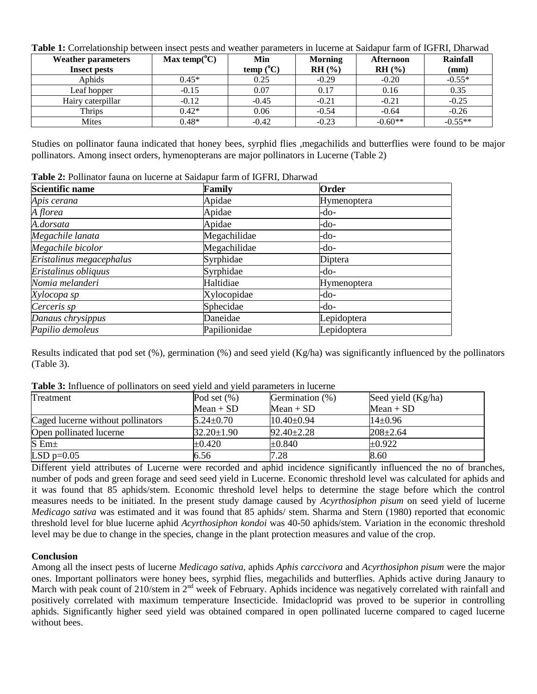**Table 1:** Correlationship between insect pests and weather parameters in lucerne at Saidapur farm of IGFRI, Dharwad

| <b>Weather parameters</b> | Max temp( $^{\circ}$ C) | Min         | <b>Morning</b> | <b>Afternoon</b> | Rainfall  |
|---------------------------|-------------------------|-------------|----------------|------------------|-----------|
| <b>Insect pests</b>       |                         | $temp(^oC)$ | RH(%)          | RH (%)           | (mm)      |
| Aphids                    | $0.45*$                 | 0.25        | $-0.29$        | $-0.20$          | $-0.55*$  |
| Leaf hopper               | $-0.15$                 | 0.07        | 0.17           | 0.16             | 0.35      |
| Hairy caterpillar         | $-0.12$                 | $-0.45$     | $-0.21$        | $-0.21$          | $-0.25$   |
| Thrips                    | $0.42*$                 | 0.06        | $-0.54$        | $-0.64$          | $-0.26$   |
| Mites                     | $0.48*$                 | $-0.42$     | $-0.23$        | $-0.60**$        | $-0.55**$ |

Studies on pollinator fauna indicated that honey bees, syrphid flies ,megachilids and butterflies were found to be major pollinators. Among insect orders, hymenopterans are major pollinators in Lucerne (Table 2)

**Table 2:** Pollinator fauna on lucerne at Saidapur farm of IGFRI, Dharwad

| Scientific name          | Family       | Order              |
|--------------------------|--------------|--------------------|
| Apis cerana              | Apidae       | Hymenoptera        |
| A florea                 | Apidae       | -do-               |
| A.dorsata                | Apidae       | -do-               |
| Megachile lanata         | Megachilidae | -do-               |
| Megachile bicolor        | Megachilidae | -do-               |
| Eristalinus megacephalus | Syrphidae    | Diptera            |
| Eristalinus obliquus     | Syrphidae    | -do-               |
| Nomia melanderi          | Haltidiae    | <b>Hymenoptera</b> |
| Xylocopa sp              | Xylocopidae  | -do-               |
| Cerceris sp              | Sphecidae    | -do-               |
| Danaus chrysippus        | Daneidae     | Lepidoptera        |
| Papilio demoleus         | Papilionidae | Lepidoptera        |

Results indicated that pod set  $(\%)$ , germination  $(\%)$  and seed yield  $(Kg/ha)$  was significantly influenced by the pollinators (Table 3).

**Table 3:** Influence of pollinators on seed yield and yield parameters in lucerne

| Treatment                         | Pod set $(\%)$   | Germination (%)  | Seed yield (Kg/ha) |
|-----------------------------------|------------------|------------------|--------------------|
|                                   | $Mean + SD$      | $Mean + SD$      | $Mean + SD$        |
| Caged lucerne without pollinators | $5.24 \pm 0.70$  | $10.40 \pm 0.94$ | $14\pm0.96$        |
| Open pollinated lucerne           | $32.20 \pm 1.90$ | $92.40 \pm 2.28$ | $208 \pm 2.64$     |
| $S$ Em $\pm$                      | $\pm 0.420$      | $\pm 0.840$      | $\pm 0.922$        |
| LSD $p=0.05$                      | 6.56             | 7.28             | 8.60               |

Different yield attributes of Lucerne were recorded and aphid incidence significantly influenced the no of branches, number of pods and green forage and seed seed yield in Lucerne. Economic threshold level was calculated for aphids and it was found that 85 aphids/stem. Economic threshold level helps to determine the stage before which the control measures needs to be initiated. In the present study damage caused by *Acyrthosiphon pisum* on seed yield of lucerne *Medicago sativa* was estimated and it was found that 85 aphids/ stem. Sharma and Stern (1980) reported that economic threshold level for blue lucerne aphid *Acyrthosiphon kondoi* was 40-50 aphids/stem. Variation in the economic threshold level may be due to change in the species, change in the plant protection measures and value of the crop.

## **Conclusion**

Among all the insect pests of lucerne *Medicago sativa,* aphids *Aphis carccivora* and *Acyrthosiphon pisum* were the major ones. Important pollinators were honey bees, syrphid flies, megachilids and butterflies. Aphids active during Janaury to March with peak count of 210/stem in 2<sup>nd</sup> week of February. Aphids incidence was negatively correlated with rainfall and positively correlated with maximum temperature Insecticide. Imidacloprid was proved to be superior in controlling aphids. Significantly higher seed yield was obtained compared in open pollinated lucerne compared to caged lucerne without bees.